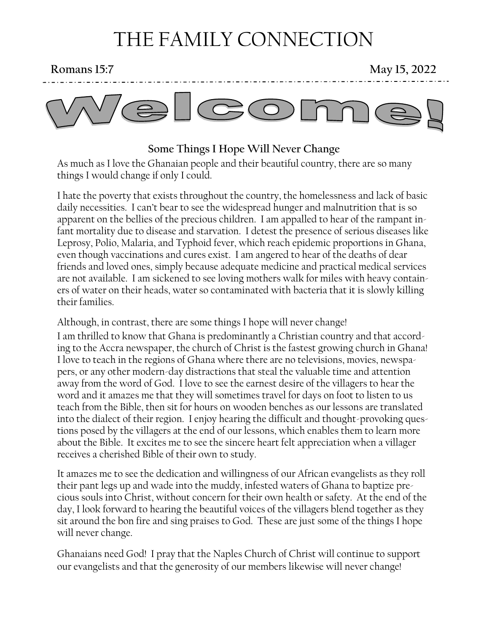# THE FAMILY CONNECTION

**Romans 15:7** May 15, 2022



### **Some Things I Hope Will Never Change**

As much as I love the Ghanaian people and their beautiful country, there are so many things I would change if only I could.

I hate the poverty that exists throughout the country, the homelessness and lack of basic daily necessities. I can't bear to see the widespread hunger and malnutrition that is so apparent on the bellies of the precious children. I am appalled to hear of the rampant infant mortality due to disease and starvation. I detest the presence of serious diseases like Leprosy, Polio, Malaria, and Typhoid fever, which reach epidemic proportions in Ghana, even though vaccinations and cures exist. I am angered to hear of the deaths of dear friends and loved ones, simply because adequate medicine and practical medical services are not available. I am sickened to see loving mothers walk for miles with heavy containers of water on their heads, water so contaminated with bacteria that it is slowly killing their families.

Although, in contrast, there are some things I hope will never change!

I am thrilled to know that Ghana is predominantly a Christian country and that according to the Accra newspaper, the church of Christ is the fastest growing church in Ghana! I love to teach in the regions of Ghana where there are no televisions, movies, newspapers, or any other modern-day distractions that steal the valuable time and attention away from the word of God. I love to see the earnest desire of the villagers to hear the word and it amazes me that they will sometimes travel for days on foot to listen to us teach from the Bible, then sit for hours on wooden benches as our lessons are translated into the dialect of their region. I enjoy hearing the difficult and thought-provoking questions posed by the villagers at the end of our lessons, which enables them to learn more about the Bible. It excites me to see the sincere heart felt appreciation when a villager receives a cherished Bible of their own to study.

It amazes me to see the dedication and willingness of our African evangelists as they roll their pant legs up and wade into the muddy, infested waters of Ghana to baptize precious souls into Christ, without concern for their own health or safety. At the end of the day, I look forward to hearing the beautiful voices of the villagers blend together as they sit around the bon fire and sing praises to God. These are just some of the things I hope will never change.

Ghanaians need God! I pray that the Naples Church of Christ will continue to support our evangelists and that the generosity of our members likewise will never change!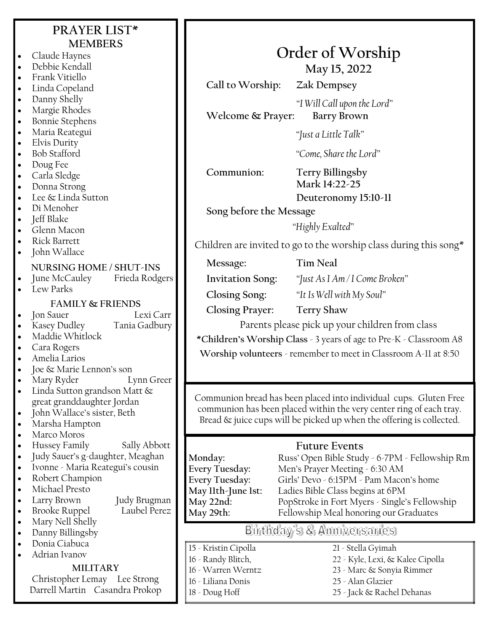## **PRAYER LIST\* MEMBERS**

- Claude Haynes • Debbie Kendall
- Frank Vitiello
- 
- Linda Copeland • Danny Shelly
- Margie Rhodes
- Bonnie Stephens
- Maria Reategui
- Elvis Durity
- Bob Stafford
- Doug Fee
- Carla Sledge
- Donna Strong
- Lee & Linda Sutton
- Di Menoher
- Jeff Blake
- Glenn Macon
- Rick Barrett
- John Wallace

- **NURSING HOME / SHUT-INS** June McCauley
- Lew Parks

#### **FAMILY & FRIENDS**

• Jon Sauer Lexi Carr

- Kasey Dudley Tania Gadbury
- Maddie Whitlock
- Cara Rogers
- Amelia Larios
- Joe & Marie Lennon's son
- Mary Ryder Lynn Greer
- Linda Sutton grandson Matt & great granddaughter Jordan
- John Wallace's sister, Beth
- Marsha Hampton
- Marco Moros
- Hussey Family Sally Abbott
- Judy Sauer's g-daughter, Meaghan
- Ivonne Maria Reategui's cousin
- Robert Champion
- Michael Presto
- - Larry Brown Judy Brugman **Brooke Ruppel**
- Mary Nell Shelly
- Danny Billingsby
- Donia Ciabuca
- Adrian Ivanov

#### **MILITARY**

Christopher Lemay Lee Strong Darrell Martin Casandra Prokop **Order of Worship May 15, 2022**

**Call to Worship: Zak Dempsey**

*"I Will Call upon the Lord"* **Welcome & Prayer: Barry Brown**

*"Just a Little Talk"*

*"Come, Share the Lord"*

### **Communion: Terry Billingsby**

**Mark 14:22-25 Deuteronomy 15:10-11**

**Song before the Message**

*"Highly Exalted"*

Children are invited to go to the worship class during this song\*

**Message: Tim Neal**

**Invitation Song:** *"Just As I Am / I Come Broken"*

**Closing Song:** *"It Is Well with My Soul"*

**Closing Prayer: Terry Shaw**

Parents please pick up your children from class **\*Children's Worship Class** - 3 years of age to Pre-K - Classroom A8

**Worship volunteers** - remember to meet in Classroom A-11 at 8:50

Communion bread has been placed into individual cups. Gluten Free communion has been placed within the very center ring of each tray. Bread & juice cups will be picked up when the offering is collected.

## **Future Events**

Monday: Russ' Open Bible Study - 6-7PM - Fellowship Rm<br>**Every Tuesday:** Men's Prayer Meeting - 6:30 AM Men's Prayer Meeting - 6:30 AM **Every Tuesday:** Girls' Devo - 6:15PM - Pam Macon's home **May 11th-June 1st:** Ladies Bible Class begins at 6PM PopStroke in Fort Myers - Single's Fellowship **May 29th:** Fellowship Meal honoring our Graduates

## Birthday's & Anniversaries

- 15 Kristin Cipolla
- 16 Randy Blitch,
- 16 Warren Werntz
- 16 Liliana Donis
- 18 Doug Hoff
- 21 Stella Gyimah 22 - Kyle, Lexi, & Kalee Cipolla 23 - Marc & Sonyia Rimmer
- 25 Alan Glazier
- 25 Jack & Rachel Dehanas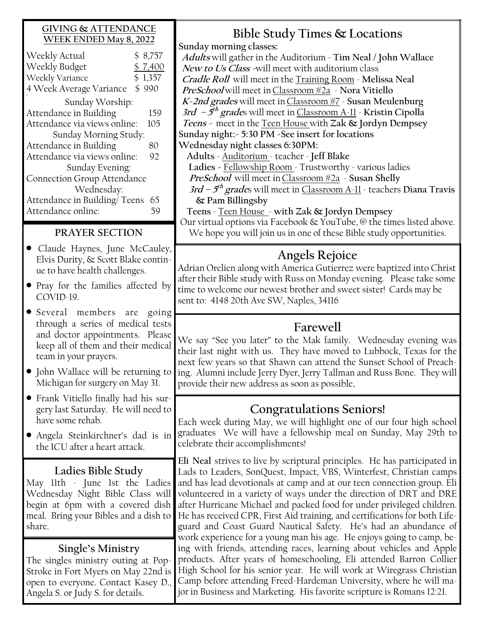#### **GIVING & ATTENDANCE WEEK ENDED May 8, 2022**

| Weekly Actual                | \$8,757 |
|------------------------------|---------|
| Weekly Budget                | \$7,400 |
| Weekly Variance              | \$1,357 |
| 4 Week Average Variance      | \$990   |
| Sunday Worship:              |         |
| Attendance in Building       | 159     |
| Attendance via views online: | 105     |
| Sunday Morning Study:        |         |
| Attendance in Building       | 80      |
| Attendance via views online: | 92      |
| Sunday Evening:              |         |
| Connection Group Attendance  |         |
| Wednesday:                   |         |
| Attendance in Building/Teens | 65      |
| Attendance online:           | べし      |
|                              |         |

### **PRAYER SECTION**

- Claude Haynes, June McCauley, Elvis Durity, & Scott Blake continue to have health challenges.
- Pray for the families affected by COVID-19.
- Several members are going through a series of medical tests and doctor appointments. Please keep all of them and their medical team in your prayers.
- John Wallace will be returning to Michigan for surgery on May 31.
- Frank Vitiello finally had his surgery last Saturday. He will need to have some rehab.
- Angela Steinkirchner's dad is in the ICU after a heart attack.

### **Ladies Bible Study**

May 11th - June 1st the Ladies Wednesday Night Bible Class will begin at 6pm with a covered dish meal. Bring your Bibles and a dish to share.

### **Single's Ministry**

The singles ministry outing at Pop-Stroke in Fort Myers on May 22nd is open to everyone. Contact Kasey D., Angela S. or Judy S. for details.

## **Bible Study Times & Locations**

**Sunday morning classes:**

**Adults** will gather in the Auditorium - **Tim Neal / John Wallace New to Us Class -**will meet with auditorium class **Cradle Roll** will meet in the Training Room - **Melissa Neal PreSchool** will meet inClassroom #2a - **Nora Vitiello K-2nd grades** will meet inClassroom #7 - **Susan Meulenburg 3rd – 5 th grade**s will meet in Classroom A-11 - **Kristin Cipolla Teens -** meet in the Teen House with **Zak & Jordyn Dempsey Sunday night:- 5:30 PM -See insert for locations Wednesday night classes 6:30PM: Adults** - Auditorium - teacher - **Jeff Blake** 

 **Ladies -** Fellowship Room - Trustworthy - various ladies **PreSchool** will meet inClassroom #2a - **Susan Shelly**

**3rd – 5 th grade**s will meet in Classroom A-11 - teachers **Diana Travis & Pam Billingsby** 

 **Teens** - Teen House - **with Zak & Jordyn Dempsey** Our virtual options via Facebook & YouTube, @ the times listed above. We hope you will join us in one of these Bible study opportunities.

## **Angels Rejoice**

Adrian Orelien along with America Gutierrez were baptized into Christ after their Bible study with Russ on Monday evening. Please take some time to welcome our newest brother and sweet sister! Cards may be sent to: 4148 20th Ave SW, Naples, 34116

## **Farewell**

We say "See you later" to the Mak family. Wednesday evening was their last night with us. They have moved to Lubbock, Texas for the next few years so that Shawn can attend the Sunset School of Preaching. Alumni include Jerry Dyer, Jerry Tallman and Russ Bone. They will provide their new address as soon as possible,

## **Congratulations Seniors!**

Each week during May, we will highlight one of our four high school graduates We will have a fellowship meal on Sunday, May 29th to celebrate their accomplishments!

**Eli Neal** strives to live by scriptural principles. He has participated in Lads to Leaders, SonQuest, Impact, VBS, Winterfest, Christian camps and has lead devotionals at camp and at our teen connection group. Eli volunteered in a variety of ways under the direction of DRT and DRE after Hurricane Michael and packed food for under privileged children. He has received CPR, First Aid training, and certifications for both Lifeguard and Coast Guard Nautical Safety. He's had an abundance of work experience for a young man his age. He enjoys going to camp, being with friends, attending races, learning about vehicles and Apple products. After years of homeschooling, Eli attended Barron Collier High School for his senior year. He will work at Wiregrass Christian Camp before attending Freed-Hardeman University, where he will major in Business and Marketing. His favorite scripture is Romans 12:21.